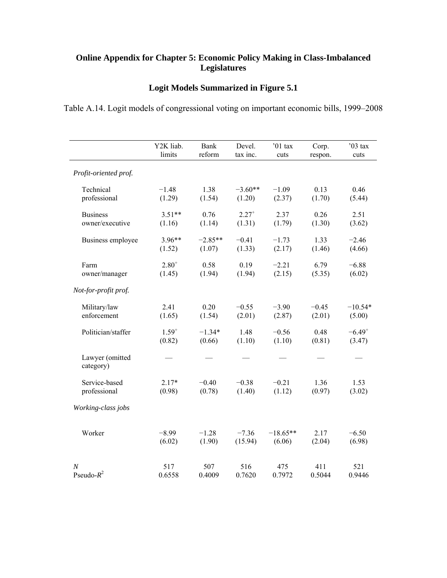## **Online Appendix for Chapter 5: Economic Policy Making in Class-Imbalanced Legislatures**

## **Logit Models Summarized in Figure 5.1**

Table A.14. Logit models of congressional voting on important economic bills, 1999–2008

|                              | Y2K liab.  | Bank      | Devel.     | '01 tax    | Corp.   | $'03$ tax   |
|------------------------------|------------|-----------|------------|------------|---------|-------------|
|                              | limits     | reform    | tax inc.   | cuts       | respon. | cuts        |
| Profit-oriented prof.        |            |           |            |            |         |             |
| Technical                    | $-1.48$    | 1.38      | $-3.60**$  | $-1.09$    | 0.13    | 0.46        |
| professional                 | (1.29)     | (1.54)    | (1.20)     | (2.37)     | (1.70)  | (5.44)      |
| <b>Business</b>              | $3.51**$   | 0.76      | $2.27^{+}$ | 2.37       | 0.26    | 2.51        |
| owner/executive              | (1.16)     | (1.14)    | (1.31)     | (1.79)     | (1.30)  | (3.62)      |
| Business employee            | $3.96**$   | $-2.85**$ | $-0.41$    | $-1.73$    | 1.33    | $-2.46$     |
|                              | (1.52)     | (1.07)    | (1.33)     | (2.17)     | (1.46)  | (4.66)      |
| Farm                         | $2.80^{+}$ | 0.58      | 0.19       | $-2.21$    | 6.79    | $-6.88$     |
| owner/manager                | (1.45)     | (1.94)    | (1.94)     | (2.15)     | (5.35)  | (6.02)      |
| Not-for-profit prof.         |            |           |            |            |         |             |
| Military/law                 | 2.41       | 0.20      | $-0.55$    | $-3.90$    | $-0.45$ | $-10.54*$   |
| enforcement                  | (1.65)     | (1.54)    | (2.01)     | (2.87)     | (2.01)  | (5.00)      |
| Politician/staffer           | $1.59^{+}$ | $-1.34*$  | 1.48       | $-0.56$    | 0.48    | $-6.49^{+}$ |
|                              | (0.82)     | (0.66)    | (1.10)     | (1.10)     | (0.81)  | (3.47)      |
| Lawyer (omitted<br>category) |            |           |            |            |         |             |
| Service-based                | $2.17*$    | $-0.40$   | $-0.38$    | $-0.21$    | 1.36    | 1.53        |
| professional                 | (0.98)     | (0.78)    | (1.40)     | (1.12)     | (0.97)  | (3.02)      |
| Working-class jobs           |            |           |            |            |         |             |
| Worker                       | $-8.99$    | $-1.28$   | $-7.36$    | $-18.65**$ | 2.17    | $-6.50$     |
|                              | (6.02)     | (1.90)    | (15.94)    | (6.06)     | (2.04)  | (6.98)      |
| $\boldsymbol{N}$             | 517        | 507       | 516        | 475        | 411     | 521         |
| Pseudo- $R^2$                | 0.6558     | 0.4009    | 0.7620     | 0.7972     | 0.5044  | 0.9446      |